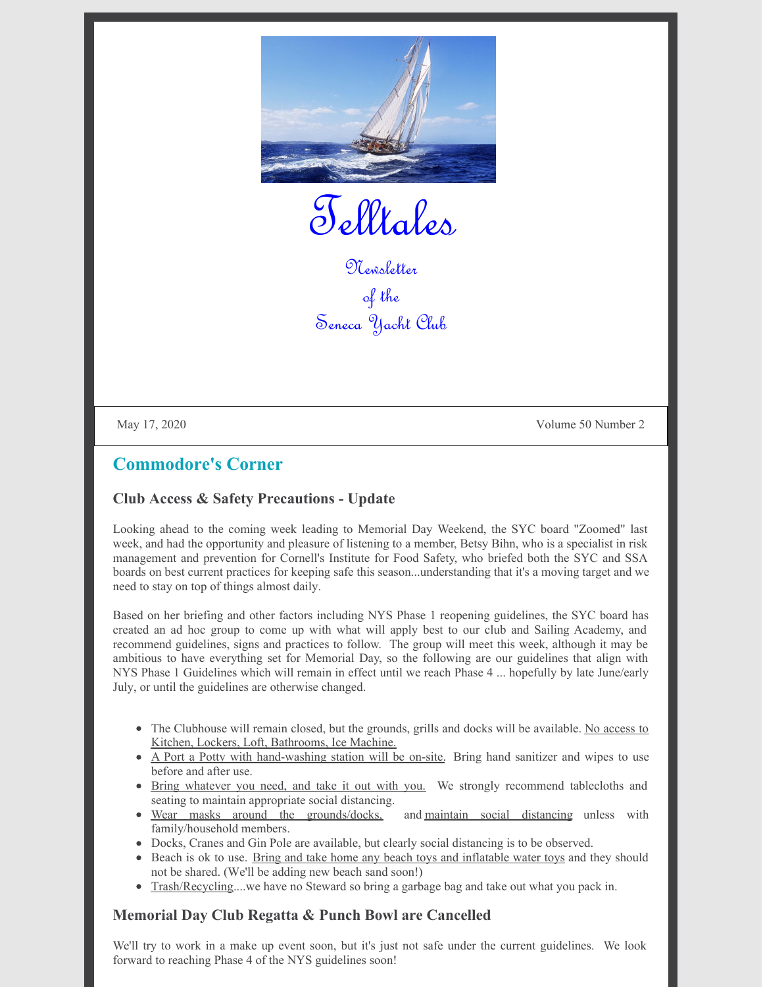

Telltales

Newsletter of the Seneca Yacht Club

May 17, 2020 Volume 50 Number 2

## **Commodore's Corner**

#### **Club Access & Safety Precautions - Update**

Looking ahead to the coming week leading to Memorial Day Weekend, the SYC board "Zoomed" last week, and had the opportunity and pleasure of listening to a member, Betsy Bihn, who is a specialist in risk management and prevention for Cornell's Institute for Food Safety, who briefed both the SYC and SSA boards on best current practices for keeping safe this season...understanding that it's a moving target and we need to stay on top of things almost daily.

Based on her briefing and other factors including NYS Phase 1 reopening guidelines, the SYC board has created an ad hoc group to come up with what will apply best to our club and Sailing Academy, and recommend guidelines, signs and practices to follow. The group will meet this week, although it may be ambitious to have everything set for Memorial Day, so the following are our guidelines that align with NYS Phase 1 Guidelines which will remain in effect until we reach Phase 4 ... hopefully by late June/early July, or until the guidelines are otherwise changed.

- The Clubhouse will remain closed, but the grounds, grills and docks will be available. No access to Kitchen, Lockers, Loft, Bathrooms, Ice Machine.
- A Port a Potty with hand-washing station will be on-site. Bring hand sanitizer and wipes to use before and after use.
- Bring whatever you need, and take it out with you. We strongly recommend tablecloths and seating to maintain appropriate social distancing.
- Wear masks around the grounds/docks, and maintain social distancing unless with family/household members.
- Docks, Cranes and Gin Pole are available, but clearly social distancing is to be observed.
- Beach is ok to use. Bring and take home any beach toys and inflatable water toys and they should not be shared. (We'll be adding new beach sand soon!)
- Trash/Recycling....we have no Steward so bring a garbage bag and take out what you pack in.

#### **Memorial Day Club Regatta & Punch Bowl are Cancelled**

We'll try to work in a make up event soon, but it's just not safe under the current guidelines. We look forward to reaching Phase 4 of the NYS guidelines soon!